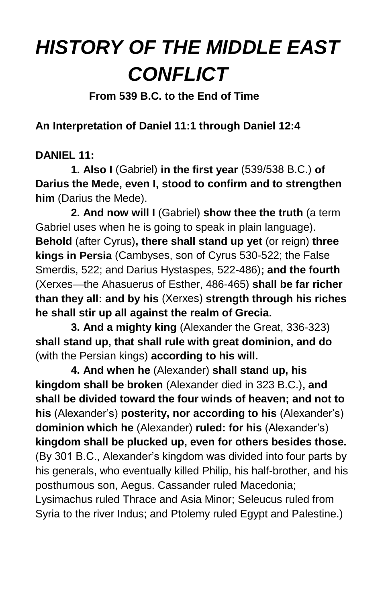## *HISTORY OF THE MIDDLE EAST CONFLICT*

 **From 539 B.C. to the End of Time**

**An Interpretation of Daniel 11:1 through Daniel 12:4**

## **DANIEL 11:**

**1. Also I** (Gabriel) **in the first year** (539/538 B.C.) **of Darius the Mede, even I, stood to confirm and to strengthen him** (Darius the Mede).

**2. And now will I** (Gabriel) **show thee the truth** (a term Gabriel uses when he is going to speak in plain language). **Behold** (after Cyrus)**, there shall stand up yet** (or reign) **three kings in Persia** (Cambyses, son of Cyrus 530-522; the False Smerdis, 522; and Darius Hystaspes, 522-486)**; and the fourth**  (Xerxes—the Ahasuerus of Esther, 486-465) **shall be far richer than they all: and by his** (Xerxes) **strength through his riches he shall stir up all against the realm of Grecia.**

**3. And a mighty king** (Alexander the Great, 336-323) **shall stand up, that shall rule with great dominion, and do**  (with the Persian kings) **according to his will.**

**4. And when he** (Alexander) **shall stand up, his kingdom shall be broken** (Alexander died in 323 B.C.)**, and shall be divided toward the four winds of heaven; and not to his** (Alexander's) **posterity, nor according to his** (Alexander's) **dominion which he** (Alexander) **ruled: for his** (Alexander's) **kingdom shall be plucked up, even for others besides those.** (By 301 B.C., Alexander's kingdom was divided into four parts by his generals, who eventually killed Philip, his half-brother, and his posthumous son, Aegus. Cassander ruled Macedonia; Lysimachus ruled Thrace and Asia Minor; Seleucus ruled from Syria to the river Indus; and Ptolemy ruled Egypt and Palestine.)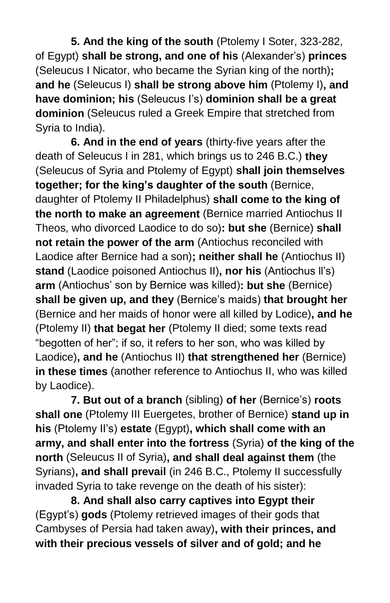**5. And the king of the south** (Ptolemy I Soter, 323-282, of Egypt) **shall be strong, and one of his** (Alexander's) **princes** (Seleucus I Nicator, who became the Syrian king of the north)**; and he** (Seleucus I) **shall be strong above him** (Ptolemy I)**, and have dominion; his** (Seleucus I's) **dominion shall be a great dominion** (Seleucus ruled a Greek Empire that stretched from Syria to India).

**6. And in the end of years** (thirty-five years after the death of Seleucus I in 281, which brings us to 246 B.C.) **they** (Seleucus of Syria and Ptolemy of Egypt) **shall join themselves together; for the king's daughter of the south** (Bernice, daughter of Ptolemy II Philadelphus) **shall come to the king of the north to make an agreement** (Bernice married Antiochus II Theos, who divorced Laodice to do so)**: but she** (Bernice) **shall not retain the power of the arm** (Antiochus reconciled with Laodice after Bernice had a son)**; neither shall he** (Antiochus II) **stand** (Laodice poisoned Antiochus II)**, nor his** (Antiochus ll's) **arm** (Antiochus' son by Bernice was killed)**: but she** (Bernice) **shall be given up, and they** (Bernice's maids) **that brought her**  (Bernice and her maids of honor were all killed by Lodice)**, and he**  (Ptolemy II) **that begat her** (Ptolemy II died; some texts read "begotten of her"; if so, it refers to her son, who was killed by Laodice)**, and he** (Antiochus II) **that strengthened her** (Bernice) **in these times** (another reference to Antiochus II, who was killed by Laodice).

**7. But out of a branch** (sibling) **of her** (Bernice's) **roots shall one** (Ptolemy III Euergetes, brother of Bernice) **stand up in his** (Ptolemy II's) **estate** (Egypt)**, which shall come with an army, and shall enter into the fortress** (Syria) **of the king of the north** (Seleucus II of Syria)**, and shall deal against them** (the Syrians)**, and shall prevail** (in 246 B.C., Ptolemy II successfully invaded Syria to take revenge on the death of his sister):

**8. And shall also carry captives into Egypt their**  (Egypt's) **gods** (Ptolemy retrieved images of their gods that Cambyses of Persia had taken away)**, with their princes, and with their precious vessels of silver and of gold; and he**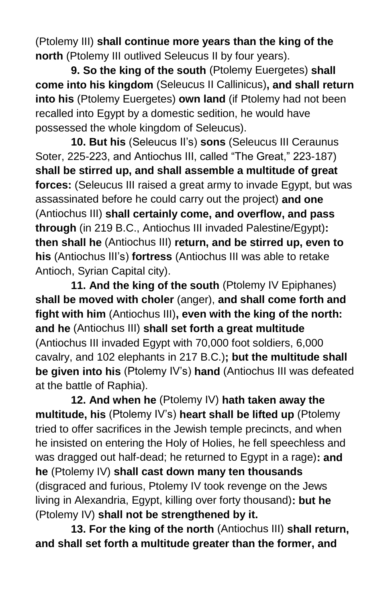(Ptolemy III) **shall continue more years than the king of the north** (Ptolemy III outlived Seleucus II by four years).

**9. So the king of the south** (Ptolemy Euergetes) **shall come into his kingdom** (Seleucus II Callinicus)**, and shall return into his** (Ptolemy Euergetes) **own land** (if Ptolemy had not been recalled into Egypt by a domestic sedition, he would have possessed the whole kingdom of Seleucus).

**10. But his** (Seleucus II's) **sons** (Seleucus III Ceraunus Soter, 225-223, and Antiochus III, called "The Great," 223-187) **shall be stirred up, and shall assemble a multitude of great forces:** (Seleucus III raised a great army to invade Egypt, but was assassinated before he could carry out the project) **and one** (Antiochus III) **shall certainly come, and overflow, and pass through** (in 219 B.C., Antiochus III invaded Palestine/Egypt)**: then shall he** (Antiochus III) **return, and be stirred up, even to his** (Antiochus III's) **fortress** (Antiochus III was able to retake Antioch, Syrian Capital city).

**11. And the king of the south** (Ptolemy IV Epiphanes) **shall be moved with choler** (anger), **and shall come forth and fight with him** (Antiochus III)**, even with the king of the north: and he** (Antiochus III) **shall set forth a great multitude** (Antiochus III invaded Egypt with 70,000 foot soldiers, 6,000 cavalry, and 102 elephants in 217 B.C.)**; but the multitude shall be given into his** (Ptolemy IV's) **hand** (Antiochus III was defeated at the battle of Raphia).

**12. And when he** (Ptolemy IV) **hath taken away the multitude, his** (Ptolemy IV's) **heart shall be lifted up** (Ptolemy tried to offer sacrifices in the Jewish temple precincts, and when he insisted on entering the Holy of Holies, he fell speechless and was dragged out half-dead; he returned to Egypt in a rage)**: and he** (Ptolemy IV) **shall cast down many ten thousands** (disgraced and furious, Ptolemy IV took revenge on the Jews living in Alexandria, Egypt, killing over forty thousand)**: but he**  (Ptolemy IV) **shall not be strengthened by it.**

**13. For the king of the north** (Antiochus III) **shall return, and shall set forth a multitude greater than the former, and**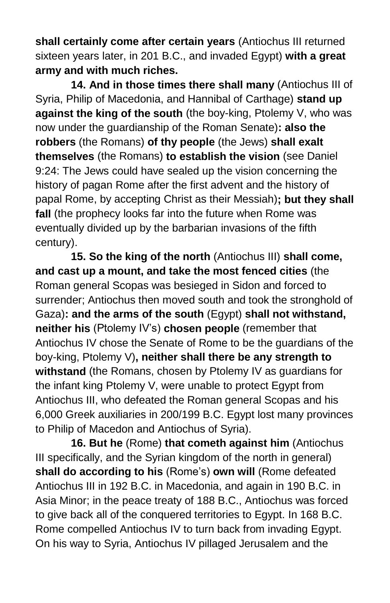**shall certainly come after certain years** (Antiochus III returned sixteen years later, in 201 B.C., and invaded Egypt) **with a great army and with much riches.**

**14. And in those times there shall many** (Antiochus III of Syria, Philip of Macedonia, and Hannibal of Carthage) **stand up against the king of the south** (the boy-king, Ptolemy V, who was now under the guardianship of the Roman Senate)**: also the robbers** (the Romans) **of thy people** (the Jews) **shall exalt themselves** (the Romans) **to establish the vision** (see Daniel 9:24: The Jews could have sealed up the vision concerning the history of pagan Rome after the first advent and the history of papal Rome, by accepting Christ as their Messiah)**; but they shall fall** (the prophecy looks far into the future when Rome was eventually divided up by the barbarian invasions of the fifth century).

**15. So the king of the north** (Antiochus III) **shall come, and cast up a mount, and take the most fenced cities** (the Roman general Scopas was besieged in Sidon and forced to surrender; Antiochus then moved south and took the stronghold of Gaza)**: and the arms of the south** (Egypt) **shall not withstand, neither his** (Ptolemy IV's) **chosen people** (remember that Antiochus IV chose the Senate of Rome to be the guardians of the boy-king, Ptolemy V)**, neither shall there be any strength to withstand** (the Romans, chosen by Ptolemy IV as guardians for the infant king Ptolemy V, were unable to protect Egypt from Antiochus III, who defeated the Roman general Scopas and his 6,000 Greek auxiliaries in 200/199 B.C. Egypt lost many provinces to Philip of Macedon and Antiochus of Syria).

**16. But he** (Rome) **that cometh against him** (Antiochus III specifically, and the Syrian kingdom of the north in general) **shall do according to his** (Rome's) **own will** (Rome defeated Antiochus III in 192 B.C. in Macedonia, and again in 190 B.C. in Asia Minor; in the peace treaty of 188 B.C., Antiochus was forced to give back all of the conquered territories to Egypt. In 168 B.C. Rome compelled Antiochus IV to turn back from invading Egypt. On his way to Syria, Antiochus IV pillaged Jerusalem and the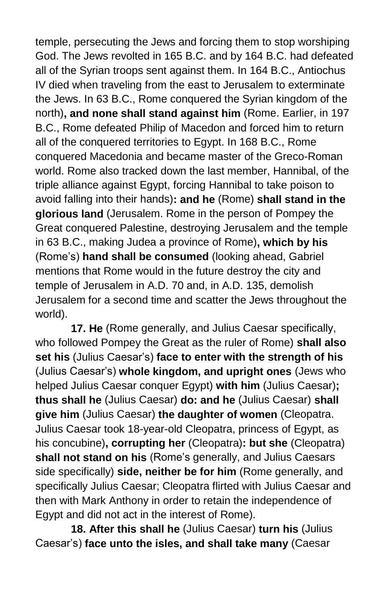temple, persecuting the Jews and forcing them to stop worshiping God. The Jews revolted in 165 B.C. and by 164 B.C. had defeated all of the Syrian troops sent against them. In 164 B.C., Antiochus IV died when traveling from the east to Jerusalem to exterminate the Jews. In 63 B.C., Rome conquered the Syrian kingdom of the north)**, and none shall stand against him** (Rome. Earlier, in 197 B.C., Rome defeated Philip of Macedon and forced him to return all of the conquered territories to Egypt. In 168 B.C., Rome conquered Macedonia and became master of the Greco-Roman world. Rome also tracked down the last member, Hannibal, of the triple alliance against Egypt, forcing Hannibal to take poison to avoid falling into their hands)**: and he** (Rome) **shall stand in the glorious land** (Jerusalem. Rome in the person of Pompey the Great conquered Palestine, destroying Jerusalem and the temple in 63 B.C., making Judea a province of Rome)**, which by his**  (Rome's) **hand shall be consumed** (looking ahead, Gabriel mentions that Rome would in the future destroy the city and temple of Jerusalem in A.D. 70 and, in A.D. 135, demolish Jerusalem for a second time and scatter the Jews throughout the world).

**17. He** (Rome generally, and Julius Caesar specifically, who followed Pompey the Great as the ruler of Rome) **shall also set his** (Julius Caesar's) **face to enter with the strength of his** (Julius Caesar's) **whole kingdom, and upright ones** (Jews who helped Julius Caesar conquer Egypt) **with him** (Julius Caesar)**; thus shall he** (Julius Caesar) **do: and he** (Julius Caesar) **shall give him** (Julius Caesar) **the daughter of women** (Cleopatra. Julius Caesar took 18-year-old Cleopatra, princess of Egypt, as his concubine)**, corrupting her** (Cleopatra)**: but she** (Cleopatra) **shall not stand on his** (Rome's generally, and Julius Caesars side specifically) **side, neither be for him** (Rome generally, and specifically Julius Caesar; Cleopatra flirted with Julius Caesar and then with Mark Anthony in order to retain the independence of Egypt and did not act in the interest of Rome).

**18. After this shall he** (Julius Caesar) **turn his** (Julius Caesar's) **face unto the isles, and shall take many** (Caesar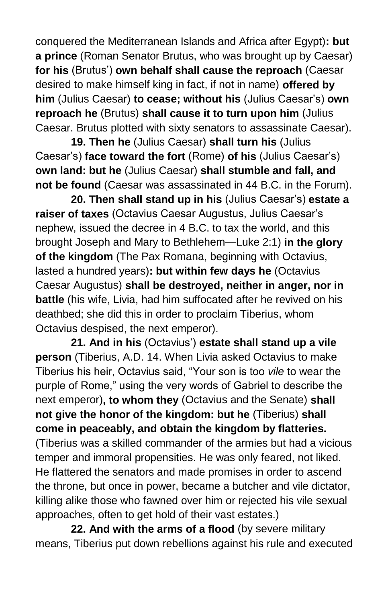conquered the Mediterranean Islands and Africa after Egypt)**: but a prince** (Roman Senator Brutus, who was brought up by Caesar) **for his** (Brutus') **own behalf shall cause the reproach** (Caesar desired to make himself king in fact, if not in name) **offered by him** (Julius Caesar) **to cease; without his** (Julius Caesar's) **own reproach he** (Brutus) **shall cause it to turn upon him** (Julius Caesar. Brutus plotted with sixty senators to assassinate Caesar).

**19. Then he** (Julius Caesar) **shall turn his** (Julius Caesar's) **face toward the fort** (Rome) **of his** (Julius Caesar's) **own land: but he** (Julius Caesar) **shall stumble and fall, and not be found** (Caesar was assassinated in 44 B.C. in the Forum).

**20. Then shall stand up in his** (Julius Caesar's) **estate a raiser of taxes** (Octavius Caesar Augustus, Julius Caesar's nephew, issued the decree in 4 B.C. to tax the world, and this brought Joseph and Mary to Bethlehem—Luke 2:1) **in the glory of the kingdom** (The Pax Romana, beginning with Octavius, lasted a hundred years)**: but within few days he** (Octavius Caesar Augustus) **shall be destroyed, neither in anger, nor in battle** (his wife, Livia, had him suffocated after he revived on his deathbed; she did this in order to proclaim Tiberius, whom Octavius despised, the next emperor).

**21. And in his** (Octavius') **estate shall stand up a vile person** (Tiberius, A.D. 14. When Livia asked Octavius to make Tiberius his heir, Octavius said, "Your son is too *vile* to wear the purple of Rome," using the very words of Gabriel to describe the next emperor)**, to whom they** (Octavius and the Senate) **shall not give the honor of the kingdom: but he** (Tiberius) **shall come in peaceably, and obtain the kingdom by flatteries.** (Tiberius was a skilled commander of the armies but had a vicious temper and immoral propensities. He was only feared, not liked. He flattered the senators and made promises in order to ascend the throne, but once in power, became a butcher and vile dictator, killing alike those who fawned over him or rejected his vile sexual approaches, often to get hold of their vast estates.)

**22. And with the arms of a flood** (by severe military means, Tiberius put down rebellions against his rule and executed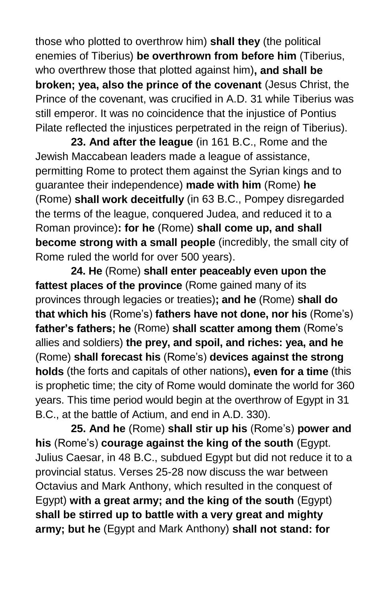those who plotted to overthrow him) **shall they** (the political enemies of Tiberius) **be overthrown from before him** (Tiberius, who overthrew those that plotted against him)**, and shall be broken; yea, also the prince of the covenant** (Jesus Christ, the Prince of the covenant, was crucified in A.D. 31 while Tiberius was still emperor. It was no coincidence that the injustice of Pontius Pilate reflected the injustices perpetrated in the reign of Tiberius).

**23. And after the league** (in 161 B.C., Rome and the Jewish Maccabean leaders made a league of assistance, permitting Rome to protect them against the Syrian kings and to guarantee their independence) **made with him** (Rome) **he**  (Rome) **shall work deceitfully** (in 63 B.C., Pompey disregarded the terms of the league, conquered Judea, and reduced it to a Roman province)**: for he** (Rome) **shall come up, and shall become strong with a small people** (incredibly, the small city of Rome ruled the world for over 500 years).

**24. He** (Rome) **shall enter peaceably even upon the fattest places of the province** (Rome gained many of its provinces through legacies or treaties)**; and he** (Rome) **shall do that which his** (Rome's) **fathers have not done, nor his** (Rome's) **father's fathers; he** (Rome) **shall scatter among them** (Rome's allies and soldiers) **the prey, and spoil, and riches: yea, and he** (Rome) **shall forecast his** (Rome's) **devices against the strong holds** (the forts and capitals of other nations)**, even for a time** (this is prophetic time; the city of Rome would dominate the world for 360 years. This time period would begin at the overthrow of Egypt in 31 B.C., at the battle of Actium, and end in A.D. 330).

**25. And he** (Rome) **shall stir up his** (Rome's) **power and his** (Rome's) **courage against the king of the south** (Egypt. Julius Caesar, in 48 B.C., subdued Egypt but did not reduce it to a provincial status. Verses 25-28 now discuss the war between Octavius and Mark Anthony, which resulted in the conquest of Egypt) **with a great army; and the king of the south** (Egypt) **shall be stirred up to battle with a very great and mighty army; but he** (Egypt and Mark Anthony) **shall not stand: for**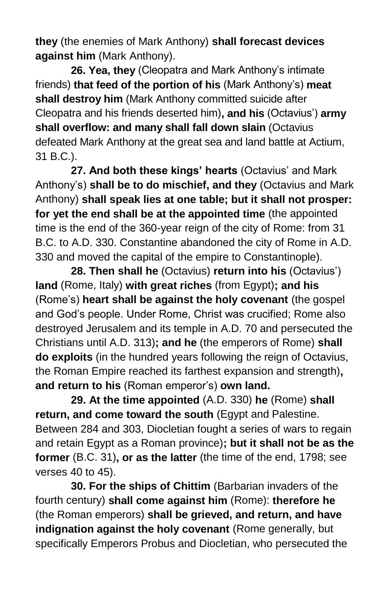**they** (the enemies of Mark Anthony) **shall forecast devices against him** (Mark Anthony).

**26. Yea, they** (Cleopatra and Mark Anthony's intimate friends) **that feed of the portion of his** (Mark Anthony's) **meat shall destroy him** (Mark Anthony committed suicide after Cleopatra and his friends deserted him)**, and his** (Octavius') **army shall overflow: and many shall fall down slain** (Octavius defeated Mark Anthony at the great sea and land battle at Actium, 31 B.C.).

**27. And both these kings' hearts** (Octavius' and Mark Anthony's) **shall be to do mischief, and they** (Octavius and Mark Anthony) **shall speak lies at one table; but it shall not prosper: for yet the end shall be at the appointed time** (the appointed time is the end of the 360-year reign of the city of Rome: from 31 B.C. to A.D. 330. Constantine abandoned the city of Rome in A.D. 330 and moved the capital of the empire to Constantinople).

**28. Then shall he** (Octavius) **return into his** (Octavius') **land** (Rome, Italy) **with great riches** (from Egypt)**; and his**  (Rome's) **heart shall be against the holy covenant** (the gospel and God's people. Under Rome, Christ was crucified; Rome also destroyed Jerusalem and its temple in A.D. 70 and persecuted the Christians until A.D. 313)**; and he** (the emperors of Rome) **shall do exploits** (in the hundred years following the reign of Octavius, the Roman Empire reached its farthest expansion and strength)**, and return to his** (Roman emperor's) **own land.**

**29. At the time appointed** (A.D. 330) **he** (Rome) **shall return, and come toward the south** (Egypt and Palestine. Between 284 and 303, Diocletian fought a series of wars to regain and retain Egypt as a Roman province)**; but it shall not be as the former** (B.C. 31)**, or as the latter** (the time of the end, 1798; see verses 40 to 45).

**30. For the ships of Chittim** (Barbarian invaders of the fourth century) **shall come against him** (Rome): **therefore he** (the Roman emperors) **shall be grieved, and return, and have indignation against the holy covenant** (Rome generally, but specifically Emperors Probus and Diocletian, who persecuted the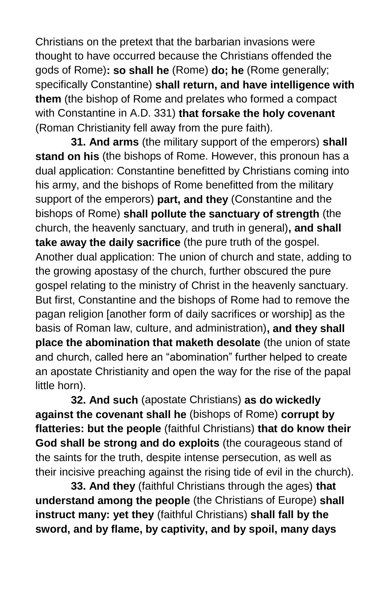Christians on the pretext that the barbarian invasions were thought to have occurred because the Christians offended the gods of Rome)**: so shall he** (Rome) **do; he** (Rome generally; specifically Constantine) **shall return, and have intelligence with them** (the bishop of Rome and prelates who formed a compact with Constantine in A.D. 331) **that forsake the holy covenant** (Roman Christianity fell away from the pure faith).

**31. And arms** (the military support of the emperors) **shall stand on his** (the bishops of Rome. However, this pronoun has a dual application: Constantine benefitted by Christians coming into his army, and the bishops of Rome benefitted from the military support of the emperors) **part, and they** (Constantine and the bishops of Rome) **shall pollute the sanctuary of strength** (the church, the heavenly sanctuary, and truth in general)**, and shall take away the daily sacrifice** (the pure truth of the gospel. Another dual application: The union of church and state, adding to the growing apostasy of the church, further obscured the pure gospel relating to the ministry of Christ in the heavenly sanctuary. But first, Constantine and the bishops of Rome had to remove the pagan religion [another form of daily sacrifices or worship] as the basis of Roman law, culture, and administration)**, and they shall place the abomination that maketh desolate** (the union of state and church, called here an "abomination" further helped to create an apostate Christianity and open the way for the rise of the papal little horn).

**32. And such** (apostate Christians) **as do wickedly against the covenant shall he** (bishops of Rome) **corrupt by flatteries: but the people** (faithful Christians) **that do know their God shall be strong and do exploits** (the courageous stand of the saints for the truth, despite intense persecution, as well as their incisive preaching against the rising tide of evil in the church).

**33. And they** (faithful Christians through the ages) **that understand among the people** (the Christians of Europe) **shall instruct many: yet they** (faithful Christians) **shall fall by the sword, and by flame, by captivity, and by spoil, many days**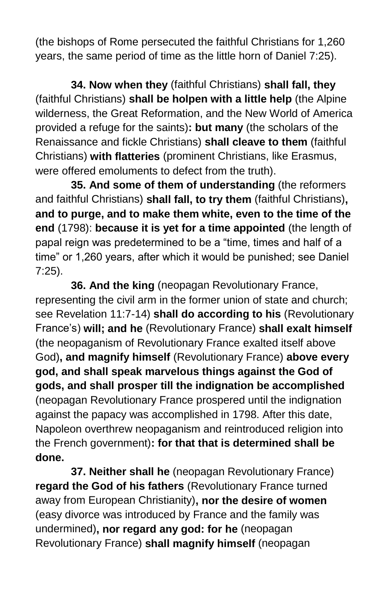(the bishops of Rome persecuted the faithful Christians for 1,260 years, the same period of time as the little horn of Daniel 7:25).

**34. Now when they** (faithful Christians) **shall fall, they** (faithful Christians) **shall be holpen with a little help** (the Alpine wilderness, the Great Reformation, and the New World of America provided a refuge for the saints)**: but many** (the scholars of the Renaissance and fickle Christians) **shall cleave to them** (faithful Christians) **with flatteries** (prominent Christians, like Erasmus, were offered emoluments to defect from the truth).

**35. And some of them of understanding** (the reformers and faithful Christians) **shall fall, to try them** (faithful Christians)**, and to purge, and to make them white, even to the time of the end** (1798): **because it is yet for a time appointed** (the length of papal reign was predetermined to be a "time, times and half of a time" or 1,260 years, after which it would be punished; see Daniel 7:25).

**36. And the king** (neopagan Revolutionary France, representing the civil arm in the former union of state and church; see Revelation 11:7-14) **shall do according to his** (Revolutionary France's) **will; and he** (Revolutionary France) **shall exalt himself** (the neopaganism of Revolutionary France exalted itself above God)**, and magnify himself** (Revolutionary France) **above every god, and shall speak marvelous things against the God of gods, and shall prosper till the indignation be accomplished** (neopagan Revolutionary France prospered until the indignation against the papacy was accomplished in 1798. After this date, Napoleon overthrew neopaganism and reintroduced religion into the French government)**: for that that is determined shall be done.**

**37. Neither shall he** (neopagan Revolutionary France) **regard the God of his fathers** (Revolutionary France turned away from European Christianity)**, nor the desire of women**  (easy divorce was introduced by France and the family was undermined)**, nor regard any god: for he** (neopagan Revolutionary France) **shall magnify himself** (neopagan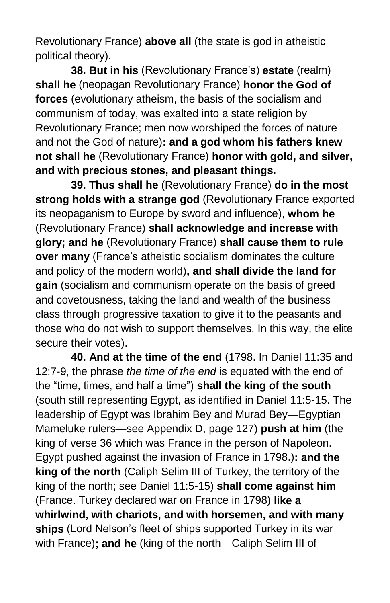Revolutionary France) **above all** (the state is god in atheistic political theory).

**38. But in his** (Revolutionary France's) **estate** (realm) **shall he** (neopagan Revolutionary France) **honor the God of forces** (evolutionary atheism, the basis of the socialism and communism of today, was exalted into a state religion by Revolutionary France; men now worshiped the forces of nature and not the God of nature)**: and a god whom his fathers knew not shall he** (Revolutionary France) **honor with gold, and silver, and with precious stones, and pleasant things.**

**39. Thus shall he** (Revolutionary France) **do in the most strong holds with a strange god** (Revolutionary France exported its neopaganism to Europe by sword and influence), **whom he** (Revolutionary France) **shall acknowledge and increase with glory; and he** (Revolutionary France) **shall cause them to rule over many** (France's atheistic socialism dominates the culture and policy of the modern world)**, and shall divide the land for gain** (socialism and communism operate on the basis of greed and covetousness, taking the land and wealth of the business class through progressive taxation to give it to the peasants and those who do not wish to support themselves. In this way, the elite secure their votes).

**40. And at the time of the end** (1798. In Daniel 11:35 and 12:7-9, the phrase *the time of the end* is equated with the end of the "time, times, and half a time") **shall the king of the south** (south still representing Egypt, as identified in Daniel 11:5-15. The leadership of Egypt was Ibrahim Bey and Murad Bey—Egyptian Mameluke rulers—see Appendix D, page 127) **push at him** (the king of verse 36 which was France in the person of Napoleon. Egypt pushed against the invasion of France in 1798.)**: and the king of the north** (Caliph Selim III of Turkey, the territory of the king of the north; see Daniel 11:5-15) **shall come against him** (France. Turkey declared war on France in 1798) **like a whirlwind, with chariots, and with horsemen, and with many ships** (Lord Nelson's fleet of ships supported Turkey in its war with France)**; and he** (king of the north—Caliph Selim III of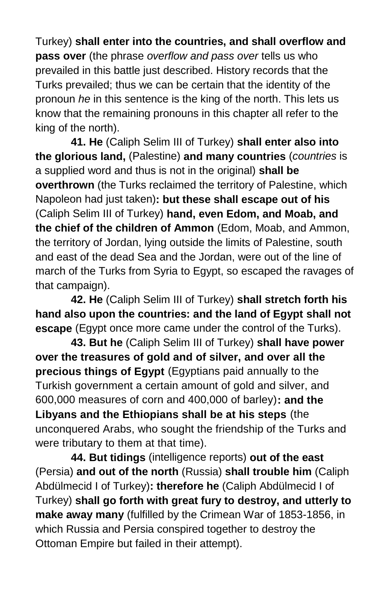Turkey) **shall enter into the countries, and shall overflow and pass over** (the phrase *overflow and pass over* tells us who prevailed in this battle just described. History records that the Turks prevailed; thus we can be certain that the identity of the pronoun *he* in this sentence is the king of the north. This lets us know that the remaining pronouns in this chapter all refer to the king of the north).

**41. He** (Caliph Selim III of Turkey) **shall enter also into the glorious land,** (Palestine) **and many countries** (*countries* is a supplied word and thus is not in the original) **shall be overthrown** (the Turks reclaimed the territory of Palestine, which Napoleon had just taken)**: but these shall escape out of his** (Caliph Selim III of Turkey) **hand, even Edom, and Moab, and the chief of the children of Ammon** (Edom, Moab, and Ammon, the territory of Jordan, lying outside the limits of Palestine, south and east of the dead Sea and the Jordan, were out of the line of march of the Turks from Syria to Egypt, so escaped the ravages of that campaign).

**42. He** (Caliph Selim III of Turkey) **shall stretch forth his hand also upon the countries: and the land of Egypt shall not escape** (Egypt once more came under the control of the Turks).

**43. But he** (Caliph Selim III of Turkey) **shall have power over the treasures of gold and of silver, and over all the precious things of Egypt** (Egyptians paid annually to the Turkish government a certain amount of gold and silver, and 600,000 measures of corn and 400,000 of barley)**: and the Libyans and the Ethiopians shall be at his steps** (the unconquered Arabs, who sought the friendship of the Turks and were tributary to them at that time).

**44. But tidings** (intelligence reports) **out of the east** (Persia) **and out of the north** (Russia) **shall trouble him** (Caliph Abdülmecid I of Turkey)**: therefore he** (Caliph Abdülmecid I of Turkey) **shall go forth with great fury to destroy, and utterly to make away many** (fulfilled by the Crimean War of 1853-1856, in which Russia and Persia conspired together to destroy the Ottoman Empire but failed in their attempt).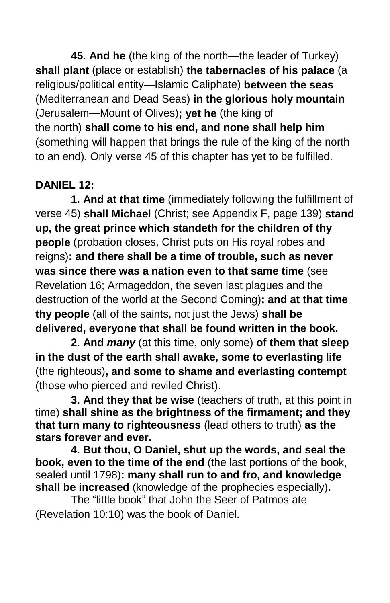**45. And he** (the king of the north—the leader of Turkey) **shall plant** (place or establish) **the tabernacles of his palace** (a religious/political entity—Islamic Caliphate) **between the seas** (Mediterranean and Dead Seas) **in the glorious holy mountain** (Jerusalem—Mount of Olives)**; yet he** (the king of the north) **shall come to his end, and none shall help him** (something will happen that brings the rule of the king of the north to an end). Only verse 45 of this chapter has yet to be fulfilled.

## **DANIEL 12:**

**1. And at that time** (immediately following the fulfillment of verse 45) **shall Michael** (Christ; see Appendix F, page 139) **stand up, the great prince which standeth for the children of thy people** (probation closes, Christ puts on His royal robes and reigns)**: and there shall be a time of trouble, such as never was since there was a nation even to that same time** (see Revelation 16; Armageddon, the seven last plagues and the destruction of the world at the Second Coming)**: and at that time thy people** (all of the saints, not just the Jews) **shall be delivered, everyone that shall be found written in the book.**

**2. And** *many* (at this time, only some) **of them that sleep in the dust of the earth shall awake, some to everlasting life** (the righteous)**, and some to shame and everlasting contempt** (those who pierced and reviled Christ).

**3. And they that be wise** (teachers of truth, at this point in time) **shall shine as the brightness of the firmament; and they that turn many to righteousness** (lead others to truth) **as the stars forever and ever.**

**4. But thou, O Daniel, shut up the words, and seal the book, even to the time of the end** (the last portions of the book, sealed until 1798)**: many shall run to and fro, and knowledge shall be increased** (knowledge of the prophecies especially)**.**

The "little book" that John the Seer of Patmos ate (Revelation 10:10) was the book of Daniel.